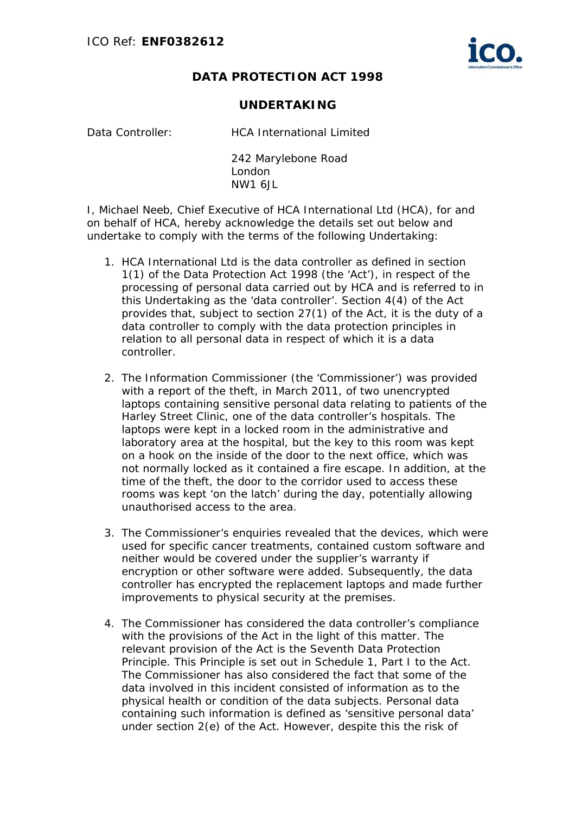## **DATA PROTECTION ACT 1998**

## **UNDERTAKING**

Data Controller: HCA International Limited

242 Marylebone Road London NW1 6JL

I, Michael Neeb, Chief Executive of HCA International Ltd (HCA), for and on behalf of HCA, hereby acknowledge the details set out below and undertake to comply with the terms of the following Undertaking:

- 1. HCA International Ltd is the data controller as defined in section 1(1) of the Data Protection Act 1998 (the 'Act'), in respect of the processing of personal data carried out by HCA and is referred to in this Undertaking as the 'data controller'. Section 4(4) of the Act provides that, subject to section 27(1) of the Act, it is the duty of a data controller to comply with the data protection principles in relation to all personal data in respect of which it is a data controller.
- 2. The Information Commissioner (the 'Commissioner') was provided with a report of the theft, in March 2011, of two unencrypted laptops containing sensitive personal data relating to patients of the Harley Street Clinic, one of the data controller's hospitals. The laptops were kept in a locked room in the administrative and laboratory area at the hospital, but the key to this room was kept on a hook on the inside of the door to the next office, which was not normally locked as it contained a fire escape. In addition, at the time of the theft, the door to the corridor used to access these rooms was kept 'on the latch' during the day, potentially allowing unauthorised access to the area.
- 3. The Commissioner's enquiries revealed that the devices, which were used for specific cancer treatments, contained custom software and neither would be covered under the supplier's warranty if encryption or other software were added. Subsequently, the data controller has encrypted the replacement laptops and made further improvements to physical security at the premises.
- 4. The Commissioner has considered the data controller's compliance with the provisions of the Act in the light of this matter. The relevant provision of the Act is the Seventh Data Protection Principle. This Principle is set out in Schedule 1, Part I to the Act. The Commissioner has also considered the fact that some of the data involved in this incident consisted of information as to the physical health or condition of the data subjects. Personal data containing such information is defined as 'sensitive personal data' under section 2(e) of the Act. However, despite this the risk of